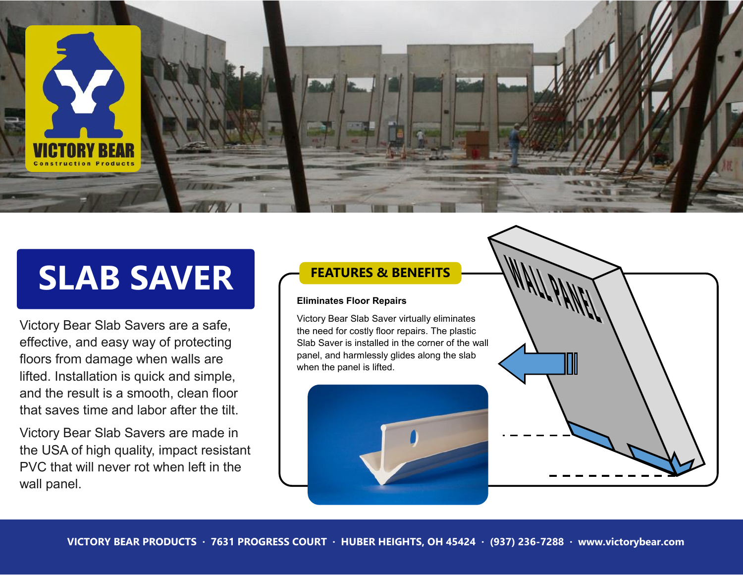

# **SLAB SAVER**

Victory Bear Slab Savers are a safe, effective, and easy way of protecting floors from damage when walls are lifted. Installation is quick and simple, and the result is a smooth, clean floor that saves time and labor after the tilt.

Victory Bear Slab Savers are made in the USA of high quality, impact resistant PVC that will never rot when left in the wall panel.

### **FEATURES & BENEFITS**

#### **Eliminates Floor Repairs**

Victory Bear Slab Saver virtually eliminates the need for costly floor repairs. The plastic Slab Saver is installed in the corner of the wall panel, and harmlessly glides along the slab when the panel is lifted.